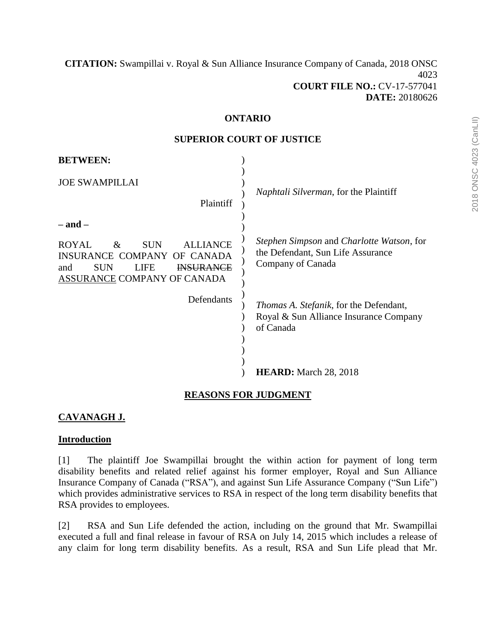**[CITATION:](http://intra.judicialsecurity.jus.gov.on.ca/NeutralCitation/)** Swampillai v. Royal & Sun Alliance Insurance Company of Canada, 2018 ONSC 4023 **COURT FILE NO.:** CV-17-577041 **DATE:** 20180626

#### **ONTARIO**

#### **SUPERIOR COURT OF JUSTICE**

| <b>BETWEEN:</b>                                                                                                                                                                     |                                                                                                       |
|-------------------------------------------------------------------------------------------------------------------------------------------------------------------------------------|-------------------------------------------------------------------------------------------------------|
| <b>JOE SWAMPILLAI</b><br>Plaintiff                                                                                                                                                  | <i>Naphtali Silverman</i> , for the Plaintiff                                                         |
| $-$ and $-$<br><b>SUN</b><br><b>ALLIANCE</b><br><b>ROYAL</b><br>&<br>OF CANADA<br>INSURANCE COMPANY<br><b>SUN</b><br><b>INSURANCE</b><br>LIFE<br>and<br>ASSURANCE COMPANY OF CANADA | Stephen Simpson and Charlotte Watson, for<br>the Defendant, Sun Life Assurance<br>Company of Canada   |
| Defendants                                                                                                                                                                          | <i>Thomas A. Stefanik</i> , for the Defendant,<br>Royal & Sun Alliance Insurance Company<br>of Canada |
|                                                                                                                                                                                     | <b>HEARD:</b> March 28, 2018                                                                          |

#### **REASONS FOR JUDGMENT**

# **CAVANAGH J.**

#### **Introduction**

[1] The plaintiff Joe Swampillai brought the within action for payment of long term disability benefits and related relief against his former employer, Royal and Sun Alliance Insurance Company of Canada ("RSA"), and against Sun Life Assurance Company ("Sun Life") which provides administrative services to RSA in respect of the long term disability benefits that RSA provides to employees.

[2] RSA and Sun Life defended the action, including on the ground that Mr. Swampillai executed a full and final release in favour of RSA on July 14, 2015 which includes a release of any claim for long term disability benefits. As a result, RSA and Sun Life plead that Mr.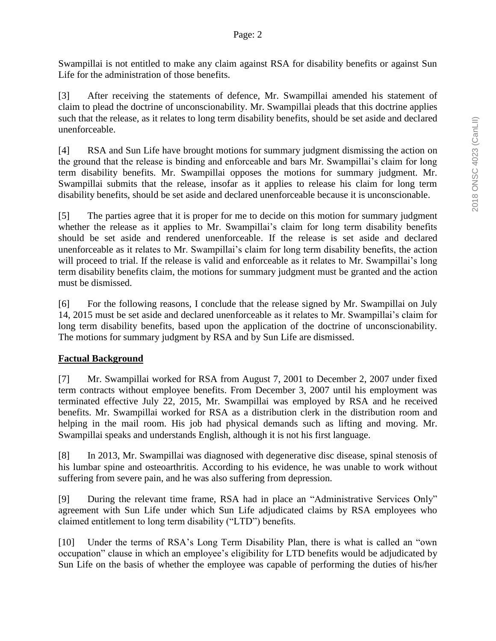Swampillai is not entitled to make any claim against RSA for disability benefits or against Sun Life for the administration of those benefits.

[3] After receiving the statements of defence, Mr. Swampillai amended his statement of claim to plead the doctrine of unconscionability. Mr. Swampillai pleads that this doctrine applies such that the release, as it relates to long term disability benefits, should be set aside and declared unenforceable.

[4] RSA and Sun Life have brought motions for summary judgment dismissing the action on the ground that the release is binding and enforceable and bars Mr. Swampillai's claim for long term disability benefits. Mr. Swampillai opposes the motions for summary judgment. Mr. Swampillai submits that the release, insofar as it applies to release his claim for long term disability benefits, should be set aside and declared unenforceable because it is unconscionable.

[5] The parties agree that it is proper for me to decide on this motion for summary judgment whether the release as it applies to Mr. Swampillai's claim for long term disability benefits should be set aside and rendered unenforceable. If the release is set aside and declared unenforceable as it relates to Mr. Swampillai's claim for long term disability benefits, the action will proceed to trial. If the release is valid and enforceable as it relates to Mr. Swampillai's long term disability benefits claim, the motions for summary judgment must be granted and the action must be dismissed.

[6] For the following reasons, I conclude that the release signed by Mr. Swampillai on July 14, 2015 must be set aside and declared unenforceable as it relates to Mr. Swampillai's claim for long term disability benefits, based upon the application of the doctrine of unconscionability. The motions for summary judgment by RSA and by Sun Life are dismissed.

## **Factual Background**

[7] Mr. Swampillai worked for RSA from August 7, 2001 to December 2, 2007 under fixed term contracts without employee benefits. From December 3, 2007 until his employment was terminated effective July 22, 2015, Mr. Swampillai was employed by RSA and he received benefits. Mr. Swampillai worked for RSA as a distribution clerk in the distribution room and helping in the mail room. His job had physical demands such as lifting and moving. Mr. Swampillai speaks and understands English, although it is not his first language.

[8] In 2013, Mr. Swampillai was diagnosed with degenerative disc disease, spinal stenosis of his lumbar spine and osteoarthritis. According to his evidence, he was unable to work without suffering from severe pain, and he was also suffering from depression.

[9] During the relevant time frame, RSA had in place an "Administrative Services Only" agreement with Sun Life under which Sun Life adjudicated claims by RSA employees who claimed entitlement to long term disability ("LTD") benefits.

[10] Under the terms of RSA's Long Term Disability Plan, there is what is called an "own occupation" clause in which an employee's eligibility for LTD benefits would be adjudicated by Sun Life on the basis of whether the employee was capable of performing the duties of his/her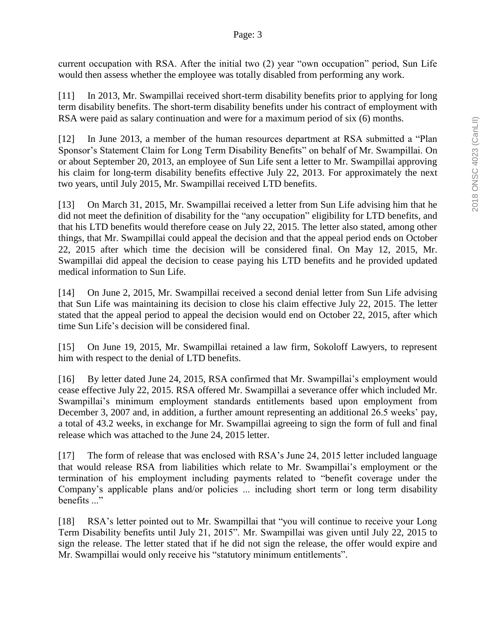current occupation with RSA. After the initial two (2) year "own occupation" period, Sun Life would then assess whether the employee was totally disabled from performing any work.

[11] In 2013, Mr. Swampillai received short-term disability benefits prior to applying for long term disability benefits. The short-term disability benefits under his contract of employment with RSA were paid as salary continuation and were for a maximum period of six (6) months.

[12] In June 2013, a member of the human resources department at RSA submitted a "Plan Sponsor's Statement Claim for Long Term Disability Benefits" on behalf of Mr. Swampillai. On or about September 20, 2013, an employee of Sun Life sent a letter to Mr. Swampillai approving his claim for long-term disability benefits effective July 22, 2013. For approximately the next two years, until July 2015, Mr. Swampillai received LTD benefits.

[13] On March 31, 2015, Mr. Swampillai received a letter from Sun Life advising him that he did not meet the definition of disability for the "any occupation" eligibility for LTD benefits, and that his LTD benefits would therefore cease on July 22, 2015. The letter also stated, among other things, that Mr. Swampillai could appeal the decision and that the appeal period ends on October 22, 2015 after which time the decision will be considered final. On May 12, 2015, Mr. Swampillai did appeal the decision to cease paying his LTD benefits and he provided updated medical information to Sun Life.

[14] On June 2, 2015, Mr. Swampillai received a second denial letter from Sun Life advising that Sun Life was maintaining its decision to close his claim effective July 22, 2015. The letter stated that the appeal period to appeal the decision would end on October 22, 2015, after which time Sun Life's decision will be considered final.

[15] On June 19, 2015, Mr. Swampillai retained a law firm, Sokoloff Lawyers, to represent him with respect to the denial of LTD benefits.

[16] By letter dated June 24, 2015, RSA confirmed that Mr. Swampillai's employment would cease effective July 22, 2015. RSA offered Mr. Swampillai a severance offer which included Mr. Swampillai's minimum employment standards entitlements based upon employment from December 3, 2007 and, in addition, a further amount representing an additional 26.5 weeks' pay, a total of 43.2 weeks, in exchange for Mr. Swampillai agreeing to sign the form of full and final release which was attached to the June 24, 2015 letter.

[17] The form of release that was enclosed with RSA's June 24, 2015 letter included language that would release RSA from liabilities which relate to Mr. Swampillai's employment or the termination of his employment including payments related to "benefit coverage under the Company's applicable plans and/or policies ... including short term or long term disability benefits ..."

[18] RSA's letter pointed out to Mr. Swampillai that "you will continue to receive your Long" Term Disability benefits until July 21, 2015". Mr. Swampillai was given until July 22, 2015 to sign the release. The letter stated that if he did not sign the release, the offer would expire and Mr. Swampillai would only receive his "statutory minimum entitlements".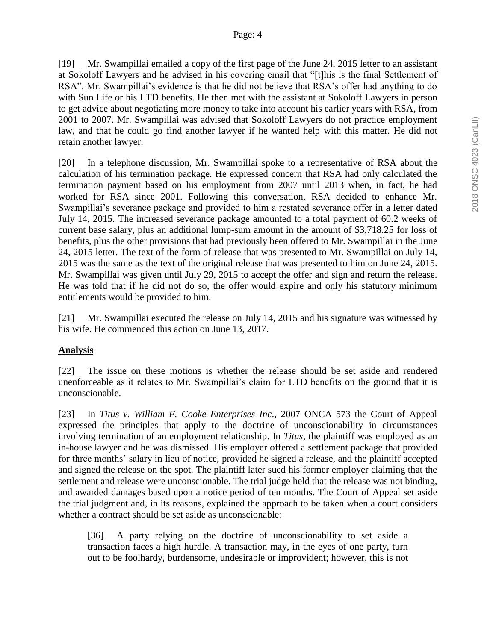[19] Mr. Swampillai emailed a copy of the first page of the June 24, 2015 letter to an assistant at Sokoloff Lawyers and he advised in his covering email that "[t]his is the final Settlement of RSA". Mr. Swampillai's evidence is that he did not believe that RSA's offer had anything to do with Sun Life or his LTD benefits. He then met with the assistant at Sokoloff Lawyers in person to get advice about negotiating more money to take into account his earlier years with RSA, from 2001 to 2007. Mr. Swampillai was advised that Sokoloff Lawyers do not practice employment law, and that he could go find another lawyer if he wanted help with this matter. He did not retain another lawyer.

[20] In a telephone discussion, Mr. Swampillai spoke to a representative of RSA about the calculation of his termination package. He expressed concern that RSA had only calculated the termination payment based on his employment from 2007 until 2013 when, in fact, he had worked for RSA since 2001. Following this conversation, RSA decided to enhance Mr. Swampillai's severance package and provided to him a restated severance offer in a letter dated July 14, 2015. The increased severance package amounted to a total payment of 60.2 weeks of current base salary, plus an additional lump-sum amount in the amount of \$3,718.25 for loss of benefits, plus the other provisions that had previously been offered to Mr. Swampillai in the June 24, 2015 letter. The text of the form of release that was presented to Mr. Swampillai on July 14, 2015 was the same as the text of the original release that was presented to him on June 24, 2015. Mr. Swampillai was given until July 29, 2015 to accept the offer and sign and return the release. He was told that if he did not do so, the offer would expire and only his statutory minimum entitlements would be provided to him.

[21] Mr. Swampillai executed the release on July 14, 2015 and his signature was witnessed by his wife. He commenced this action on June 13, 2017.

## **Analysis**

[22] The issue on these motions is whether the release should be set aside and rendered unenforceable as it relates to Mr. Swampillai's claim for LTD benefits on the ground that it is unconscionable.

[23] In *Titus v. William F. Cooke Enterprises Inc*., 2007 ONCA 573 the Court of Appeal expressed the principles that apply to the doctrine of unconscionability in circumstances involving termination of an employment relationship. In *Titus*, the plaintiff was employed as an in-house lawyer and he was dismissed. His employer offered a settlement package that provided for three months' salary in lieu of notice, provided he signed a release, and the plaintiff accepted and signed the release on the spot. The plaintiff later sued his former employer claiming that the settlement and release were unconscionable. The trial judge held that the release was not binding, and awarded damages based upon a notice period of ten months. The Court of Appeal set aside the trial judgment and, in its reasons, explained the approach to be taken when a court considers whether a contract should be set aside as unconscionable:

[36] A party relying on the doctrine of unconscionability to set aside a transaction faces a high hurdle. A transaction may, in the eyes of one party, turn out to be foolhardy, burdensome, undesirable or improvident; however, this is not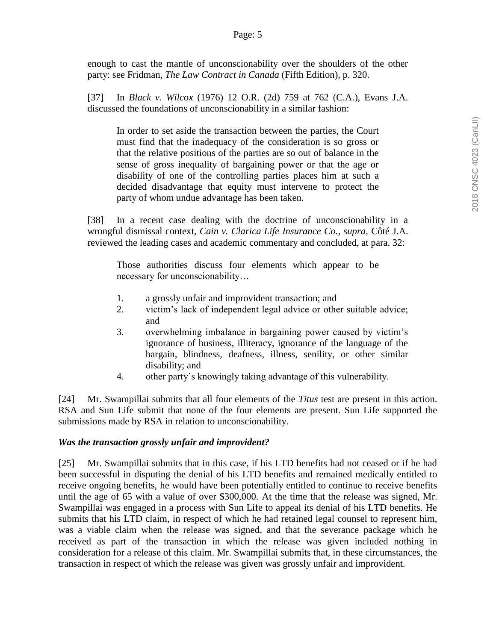enough to cast the mantle of unconscionability over the shoulders of the other party: see Fridman, *The Law Contract in Canada* (Fifth Edition), p. 320.

[37] In *Black v. Wilcox* (1976) 12 O.R. (2d) 759 at 762 (C.A.), Evans J.A. discussed the foundations of unconscionability in a similar fashion:

In order to set aside the transaction between the parties, the Court must find that the inadequacy of the consideration is so gross or that the relative positions of the parties are so out of balance in the sense of gross inequality of bargaining power or that the age or disability of one of the controlling parties places him at such a decided disadvantage that equity must intervene to protect the party of whom undue advantage has been taken.

[38] In a recent case dealing with the doctrine of unconscionability in a wrongful dismissal context, *Cain v. Clarica Life Insurance Co., supra*, Côté J.A. reviewed the leading cases and academic commentary and concluded, at para. 32:

Those authorities discuss four elements which appear to be necessary for unconscionability…

- 1. a grossly unfair and improvident transaction; and
- 2. victim's lack of independent legal advice or other suitable advice; and
- 3. overwhelming imbalance in bargaining power caused by victim's ignorance of business, illiteracy, ignorance of the language of the bargain, blindness, deafness, illness, senility, or other similar disability; and
- 4. other party's knowingly taking advantage of this vulnerability.

[24] Mr. Swampillai submits that all four elements of the *Titus* test are present in this action. RSA and Sun Life submit that none of the four elements are present. Sun Life supported the submissions made by RSA in relation to unconscionability.

## *Was the transaction grossly unfair and improvident?*

[25] Mr. Swampillai submits that in this case, if his LTD benefits had not ceased or if he had been successful in disputing the denial of his LTD benefits and remained medically entitled to receive ongoing benefits, he would have been potentially entitled to continue to receive benefits until the age of 65 with a value of over \$300,000. At the time that the release was signed, Mr. Swampillai was engaged in a process with Sun Life to appeal its denial of his LTD benefits. He submits that his LTD claim, in respect of which he had retained legal counsel to represent him, was a viable claim when the release was signed, and that the severance package which he received as part of the transaction in which the release was given included nothing in consideration for a release of this claim. Mr. Swampillai submits that, in these circumstances, the transaction in respect of which the release was given was grossly unfair and improvident.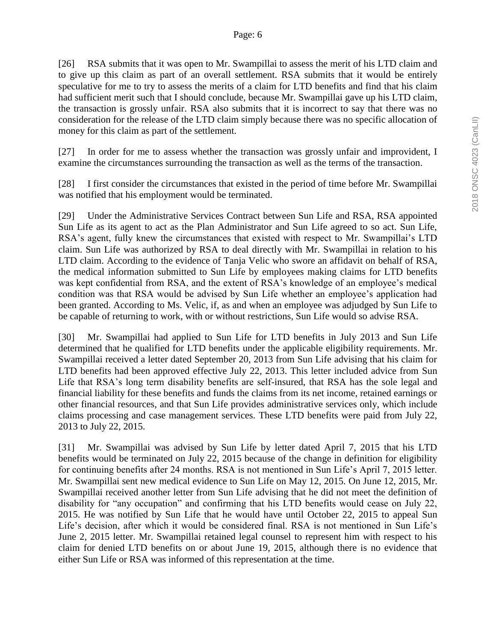[26] RSA submits that it was open to Mr. Swampillai to assess the merit of his LTD claim and to give up this claim as part of an overall settlement. RSA submits that it would be entirely speculative for me to try to assess the merits of a claim for LTD benefits and find that his claim had sufficient merit such that I should conclude, because Mr. Swampillai gave up his LTD claim, the transaction is grossly unfair. RSA also submits that it is incorrect to say that there was no consideration for the release of the LTD claim simply because there was no specific allocation of money for this claim as part of the settlement.

[27] In order for me to assess whether the transaction was grossly unfair and improvident, I examine the circumstances surrounding the transaction as well as the terms of the transaction.

[28] I first consider the circumstances that existed in the period of time before Mr. Swampillai was notified that his employment would be terminated.

[29] Under the Administrative Services Contract between Sun Life and RSA, RSA appointed Sun Life as its agent to act as the Plan Administrator and Sun Life agreed to so act. Sun Life, RSA's agent, fully knew the circumstances that existed with respect to Mr. Swampillai's LTD claim. Sun Life was authorized by RSA to deal directly with Mr. Swampillai in relation to his LTD claim. According to the evidence of Tanja Velic who swore an affidavit on behalf of RSA, the medical information submitted to Sun Life by employees making claims for LTD benefits was kept confidential from RSA, and the extent of RSA's knowledge of an employee's medical condition was that RSA would be advised by Sun Life whether an employee's application had been granted. According to Ms. Velic, if, as and when an employee was adjudged by Sun Life to be capable of returning to work, with or without restrictions, Sun Life would so advise RSA.

[30] Mr. Swampillai had applied to Sun Life for LTD benefits in July 2013 and Sun Life determined that he qualified for LTD benefits under the applicable eligibility requirements. Mr. Swampillai received a letter dated September 20, 2013 from Sun Life advising that his claim for LTD benefits had been approved effective July 22, 2013. This letter included advice from Sun Life that RSA's long term disability benefits are self-insured, that RSA has the sole legal and financial liability for these benefits and funds the claims from its net income, retained earnings or other financial resources, and that Sun Life provides administrative services only, which include claims processing and case management services. These LTD benefits were paid from July 22, 2013 to July 22, 2015.

[31] Mr. Swampillai was advised by Sun Life by letter dated April 7, 2015 that his LTD benefits would be terminated on July 22, 2015 because of the change in definition for eligibility for continuing benefits after 24 months. RSA is not mentioned in Sun Life's April 7, 2015 letter. Mr. Swampillai sent new medical evidence to Sun Life on May 12, 2015. On June 12, 2015, Mr. Swampillai received another letter from Sun Life advising that he did not meet the definition of disability for "any occupation" and confirming that his LTD benefits would cease on July 22, 2015. He was notified by Sun Life that he would have until October 22, 2015 to appeal Sun Life's decision, after which it would be considered final. RSA is not mentioned in Sun Life's June 2, 2015 letter. Mr. Swampillai retained legal counsel to represent him with respect to his claim for denied LTD benefits on or about June 19, 2015, although there is no evidence that either Sun Life or RSA was informed of this representation at the time.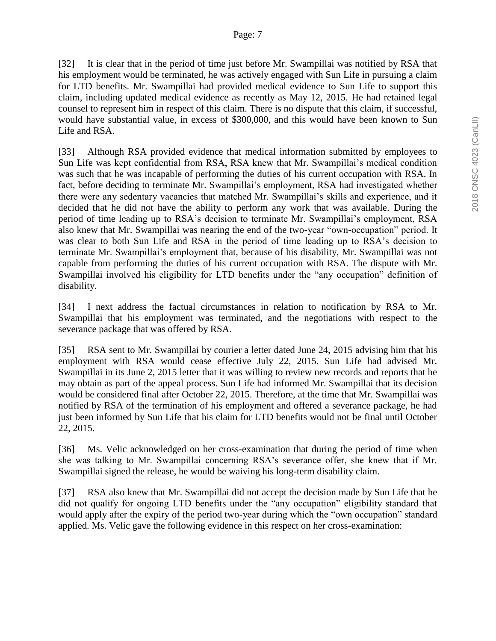[32] It is clear that in the period of time just before Mr. Swampillai was notified by RSA that his employment would be terminated, he was actively engaged with Sun Life in pursuing a claim for LTD benefits. Mr. Swampillai had provided medical evidence to Sun Life to support this claim, including updated medical evidence as recently as May 12, 2015. He had retained legal counsel to represent him in respect of this claim. There is no dispute that this claim, if successful, would have substantial value, in excess of \$300,000, and this would have been known to Sun Life and RSA.

[33] Although RSA provided evidence that medical information submitted by employees to Sun Life was kept confidential from RSA, RSA knew that Mr. Swampillai's medical condition was such that he was incapable of performing the duties of his current occupation with RSA. In fact, before deciding to terminate Mr. Swampillai's employment, RSA had investigated whether there were any sedentary vacancies that matched Mr. Swampillai's skills and experience, and it decided that he did not have the ability to perform any work that was available. During the period of time leading up to RSA's decision to terminate Mr. Swampillai's employment, RSA also knew that Mr. Swampillai was nearing the end of the two-year "own-occupation" period. It was clear to both Sun Life and RSA in the period of time leading up to RSA's decision to terminate Mr. Swampillai's employment that, because of his disability, Mr. Swampillai was not capable from performing the duties of his current occupation with RSA. The dispute with Mr. Swampillai involved his eligibility for LTD benefits under the "any occupation" definition of disability.

[34] I next address the factual circumstances in relation to notification by RSA to Mr. Swampillai that his employment was terminated, and the negotiations with respect to the severance package that was offered by RSA.

[35] RSA sent to Mr. Swampillai by courier a letter dated June 24, 2015 advising him that his employment with RSA would cease effective July 22, 2015. Sun Life had advised Mr. Swampillai in its June 2, 2015 letter that it was willing to review new records and reports that he may obtain as part of the appeal process. Sun Life had informed Mr. Swampillai that its decision would be considered final after October 22, 2015. Therefore, at the time that Mr. Swampillai was notified by RSA of the termination of his employment and offered a severance package, he had just been informed by Sun Life that his claim for LTD benefits would not be final until October 22, 2015.

[36] Ms. Velic acknowledged on her cross-examination that during the period of time when she was talking to Mr. Swampillai concerning RSA's severance offer, she knew that if Mr. Swampillai signed the release, he would be waiving his long-term disability claim.

[37] RSA also knew that Mr. Swampillai did not accept the decision made by Sun Life that he did not qualify for ongoing LTD benefits under the "any occupation" eligibility standard that would apply after the expiry of the period two-year during which the "own occupation" standard applied. Ms. Velic gave the following evidence in this respect on her cross-examination: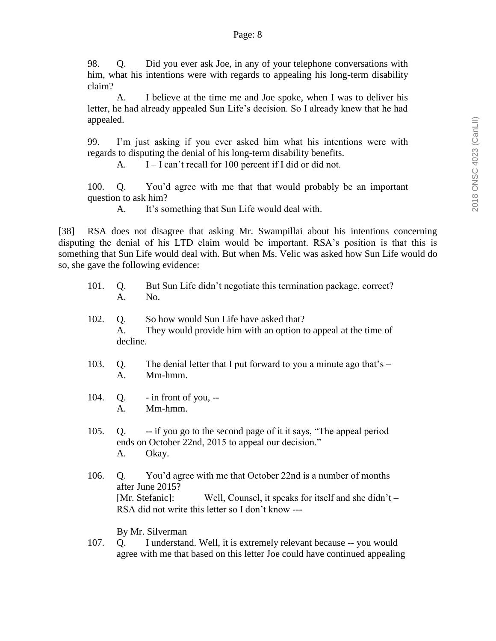98. Q. Did you ever ask Joe, in any of your telephone conversations with him, what his intentions were with regards to appealing his long-term disability claim?

A. I believe at the time me and Joe spoke, when I was to deliver his letter, he had already appealed Sun Life's decision. So I already knew that he had appealed.

99. I'm just asking if you ever asked him what his intentions were with regards to disputing the denial of his long-term disability benefits.

A. I – I can't recall for 100 percent if I did or did not.

100. Q. You'd agree with me that that would probably be an important question to ask him?

A. It's something that Sun Life would deal with.

[38] RSA does not disagree that asking Mr. Swampillai about his intentions concerning disputing the denial of his LTD claim would be important. RSA's position is that this is something that Sun Life would deal with. But when Ms. Velic was asked how Sun Life would do so, she gave the following evidence:

- 101. Q. But Sun Life didn't negotiate this termination package, correct? A. No.
- 102. Q. So how would Sun Life have asked that? A. They would provide him with an option to appeal at the time of decline.
- 103. Q. The denial letter that I put forward to you a minute ago that's A. Mm-hmm.
- 104. Q. in front of you, -- A. Mm-hmm.
- 105. Q. -- if you go to the second page of it it says, "The appeal period ends on October 22nd, 2015 to appeal our decision." A. Okay.
- 106. Q. You'd agree with me that October 22nd is a number of months after June 2015? [Mr. Stefanic]: Well, Counsel, it speaks for itself and she didn't – RSA did not write this letter so I don't know ---

By Mr. Silverman

107. Q. I understand. Well, it is extremely relevant because -- you would agree with me that based on this letter Joe could have continued appealing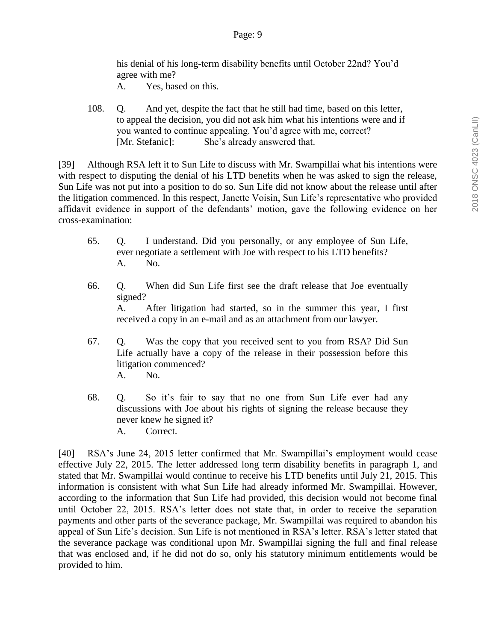his denial of his long-term disability benefits until October 22nd? You'd agree with me?

- A. Yes, based on this.
- 108. Q. And yet, despite the fact that he still had time, based on this letter, to appeal the decision, you did not ask him what his intentions were and if you wanted to continue appealing. You'd agree with me, correct? [Mr. Stefanic]: She's already answered that.

[39] Although RSA left it to Sun Life to discuss with Mr. Swampillai what his intentions were with respect to disputing the denial of his LTD benefits when he was asked to sign the release, Sun Life was not put into a position to do so. Sun Life did not know about the release until after the litigation commenced. In this respect, Janette Voisin, Sun Life's representative who provided affidavit evidence in support of the defendants' motion, gave the following evidence on her cross-examination:

- 65. Q. I understand. Did you personally, or any employee of Sun Life, ever negotiate a settlement with Joe with respect to his LTD benefits? A. No.
- 66. Q. When did Sun Life first see the draft release that Joe eventually signed? A. After litigation had started, so in the summer this year, I first received a copy in an e-mail and as an attachment from our lawyer.
- 67. Q. Was the copy that you received sent to you from RSA? Did Sun Life actually have a copy of the release in their possession before this litigation commenced? A. No.
- 68. Q. So it's fair to say that no one from Sun Life ever had any discussions with Joe about his rights of signing the release because they never knew he signed it? A. Correct.

[40] RSA's June 24, 2015 letter confirmed that Mr. Swampillai's employment would cease effective July 22, 2015. The letter addressed long term disability benefits in paragraph 1, and stated that Mr. Swampillai would continue to receive his LTD benefits until July 21, 2015. This information is consistent with what Sun Life had already informed Mr. Swampillai. However, according to the information that Sun Life had provided, this decision would not become final until October 22, 2015. RSA's letter does not state that, in order to receive the separation payments and other parts of the severance package, Mr. Swampillai was required to abandon his appeal of Sun Life's decision. Sun Life is not mentioned in RSA's letter. RSA's letter stated that the severance package was conditional upon Mr. Swampillai signing the full and final release that was enclosed and, if he did not do so, only his statutory minimum entitlements would be provided to him.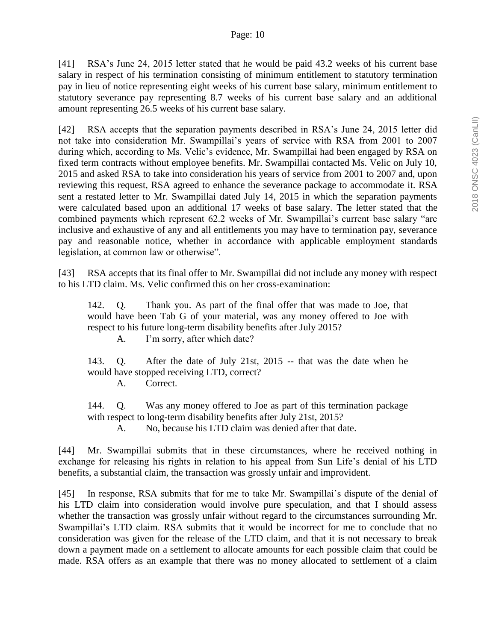[41] RSA's June 24, 2015 letter stated that he would be paid 43.2 weeks of his current base salary in respect of his termination consisting of minimum entitlement to statutory termination pay in lieu of notice representing eight weeks of his current base salary, minimum entitlement to statutory severance pay representing 8.7 weeks of his current base salary and an additional amount representing 26.5 weeks of his current base salary.

[42] RSA accepts that the separation payments described in RSA's June 24, 2015 letter did not take into consideration Mr. Swampillai's years of service with RSA from 2001 to 2007 during which, according to Ms. Velic's evidence, Mr. Swampillai had been engaged by RSA on fixed term contracts without employee benefits. Mr. Swampillai contacted Ms. Velic on July 10, 2015 and asked RSA to take into consideration his years of service from 2001 to 2007 and, upon reviewing this request, RSA agreed to enhance the severance package to accommodate it. RSA sent a restated letter to Mr. Swampillai dated July 14, 2015 in which the separation payments were calculated based upon an additional 17 weeks of base salary. The letter stated that the combined payments which represent 62.2 weeks of Mr. Swampillai's current base salary "are inclusive and exhaustive of any and all entitlements you may have to termination pay, severance pay and reasonable notice, whether in accordance with applicable employment standards legislation, at common law or otherwise".

[43] RSA accepts that its final offer to Mr. Swampillai did not include any money with respect to his LTD claim. Ms. Velic confirmed this on her cross-examination:

142. Q. Thank you. As part of the final offer that was made to Joe, that would have been Tab G of your material, was any money offered to Joe with respect to his future long-term disability benefits after July 2015?

A. I'm sorry, after which date?

143. Q. After the date of July 21st, 2015 -- that was the date when he would have stopped receiving LTD, correct?

A. Correct.

144. Q. Was any money offered to Joe as part of this termination package with respect to long-term disability benefits after July 21st, 2015?

A. No, because his LTD claim was denied after that date.

[44] Mr. Swampillai submits that in these circumstances, where he received nothing in exchange for releasing his rights in relation to his appeal from Sun Life's denial of his LTD benefits, a substantial claim, the transaction was grossly unfair and improvident.

[45] In response, RSA submits that for me to take Mr. Swampillai's dispute of the denial of his LTD claim into consideration would involve pure speculation, and that I should assess whether the transaction was grossly unfair without regard to the circumstances surrounding Mr. Swampillai's LTD claim. RSA submits that it would be incorrect for me to conclude that no consideration was given for the release of the LTD claim, and that it is not necessary to break down a payment made on a settlement to allocate amounts for each possible claim that could be made. RSA offers as an example that there was no money allocated to settlement of a claim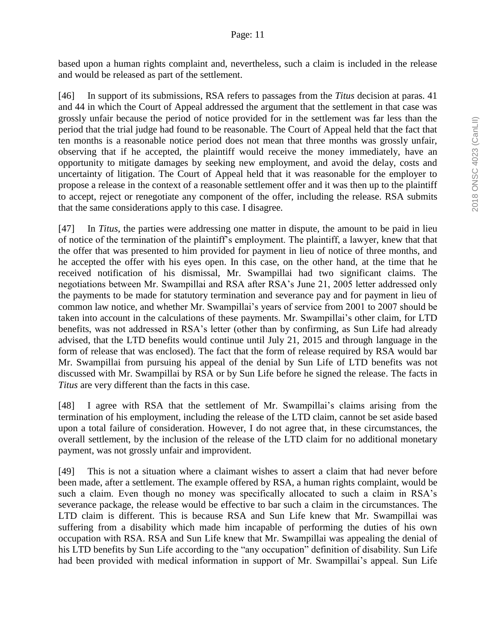based upon a human rights complaint and, nevertheless, such a claim is included in the release and would be released as part of the settlement.

[46] In support of its submissions, RSA refers to passages from the *Titus* decision at paras. 41 and 44 in which the Court of Appeal addressed the argument that the settlement in that case was grossly unfair because the period of notice provided for in the settlement was far less than the period that the trial judge had found to be reasonable. The Court of Appeal held that the fact that ten months is a reasonable notice period does not mean that three months was grossly unfair, observing that if he accepted, the plaintiff would receive the money immediately, have an opportunity to mitigate damages by seeking new employment, and avoid the delay, costs and uncertainty of litigation. The Court of Appeal held that it was reasonable for the employer to propose a release in the context of a reasonable settlement offer and it was then up to the plaintiff to accept, reject or renegotiate any component of the offer, including the release. RSA submits that the same considerations apply to this case. I disagree.

[47] In *Titus*, the parties were addressing one matter in dispute, the amount to be paid in lieu of notice of the termination of the plaintiff's employment. The plaintiff, a lawyer, knew that that the offer that was presented to him provided for payment in lieu of notice of three months, and he accepted the offer with his eyes open. In this case, on the other hand, at the time that he received notification of his dismissal, Mr. Swampillai had two significant claims. The negotiations between Mr. Swampillai and RSA after RSA's June 21, 2005 letter addressed only the payments to be made for statutory termination and severance pay and for payment in lieu of common law notice, and whether Mr. Swampillai's years of service from 2001 to 2007 should be taken into account in the calculations of these payments. Mr. Swampillai's other claim, for LTD benefits, was not addressed in RSA's letter (other than by confirming, as Sun Life had already advised, that the LTD benefits would continue until July 21, 2015 and through language in the form of release that was enclosed). The fact that the form of release required by RSA would bar Mr. Swampillai from pursuing his appeal of the denial by Sun Life of LTD benefits was not discussed with Mr. Swampillai by RSA or by Sun Life before he signed the release. The facts in *Titus* are very different than the facts in this case.

[48] I agree with RSA that the settlement of Mr. Swampillai's claims arising from the termination of his employment, including the release of the LTD claim, cannot be set aside based upon a total failure of consideration. However, I do not agree that, in these circumstances, the overall settlement, by the inclusion of the release of the LTD claim for no additional monetary payment, was not grossly unfair and improvident.

[49] This is not a situation where a claimant wishes to assert a claim that had never before been made, after a settlement. The example offered by RSA, a human rights complaint, would be such a claim. Even though no money was specifically allocated to such a claim in RSA's severance package, the release would be effective to bar such a claim in the circumstances. The LTD claim is different. This is because RSA and Sun Life knew that Mr. Swampillai was suffering from a disability which made him incapable of performing the duties of his own occupation with RSA. RSA and Sun Life knew that Mr. Swampillai was appealing the denial of his LTD benefits by Sun Life according to the "any occupation" definition of disability. Sun Life had been provided with medical information in support of Mr. Swampillai's appeal. Sun Life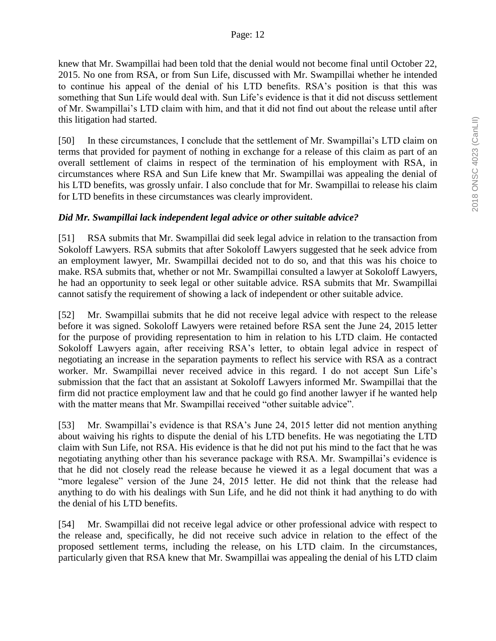knew that Mr. Swampillai had been told that the denial would not become final until October 22, 2015. No one from RSA, or from Sun Life, discussed with Mr. Swampillai whether he intended to continue his appeal of the denial of his LTD benefits. RSA's position is that this was something that Sun Life would deal with. Sun Life's evidence is that it did not discuss settlement of Mr. Swampillai's LTD claim with him, and that it did not find out about the release until after this litigation had started.

[50] In these circumstances, I conclude that the settlement of Mr. Swampillai's LTD claim on terms that provided for payment of nothing in exchange for a release of this claim as part of an overall settlement of claims in respect of the termination of his employment with RSA, in circumstances where RSA and Sun Life knew that Mr. Swampillai was appealing the denial of his LTD benefits, was grossly unfair. I also conclude that for Mr. Swampillai to release his claim for LTD benefits in these circumstances was clearly improvident.

### *Did Mr. Swampillai lack independent legal advice or other suitable advice?*

[51] RSA submits that Mr. Swampillai did seek legal advice in relation to the transaction from Sokoloff Lawyers. RSA submits that after Sokoloff Lawyers suggested that he seek advice from an employment lawyer, Mr. Swampillai decided not to do so, and that this was his choice to make. RSA submits that, whether or not Mr. Swampillai consulted a lawyer at Sokoloff Lawyers, he had an opportunity to seek legal or other suitable advice. RSA submits that Mr. Swampillai cannot satisfy the requirement of showing a lack of independent or other suitable advice.

[52] Mr. Swampillai submits that he did not receive legal advice with respect to the release before it was signed. Sokoloff Lawyers were retained before RSA sent the June 24, 2015 letter for the purpose of providing representation to him in relation to his LTD claim. He contacted Sokoloff Lawyers again, after receiving RSA's letter, to obtain legal advice in respect of negotiating an increase in the separation payments to reflect his service with RSA as a contract worker. Mr. Swampillai never received advice in this regard. I do not accept Sun Life's submission that the fact that an assistant at Sokoloff Lawyers informed Mr. Swampillai that the firm did not practice employment law and that he could go find another lawyer if he wanted help with the matter means that Mr. Swampillai received "other suitable advice".

[53] Mr. Swampillai's evidence is that RSA's June 24, 2015 letter did not mention anything about waiving his rights to dispute the denial of his LTD benefits. He was negotiating the LTD claim with Sun Life, not RSA. His evidence is that he did not put his mind to the fact that he was negotiating anything other than his severance package with RSA. Mr. Swampillai's evidence is that he did not closely read the release because he viewed it as a legal document that was a "more legalese" version of the June 24, 2015 letter. He did not think that the release had anything to do with his dealings with Sun Life, and he did not think it had anything to do with the denial of his LTD benefits.

[54] Mr. Swampillai did not receive legal advice or other professional advice with respect to the release and, specifically, he did not receive such advice in relation to the effect of the proposed settlement terms, including the release, on his LTD claim. In the circumstances, particularly given that RSA knew that Mr. Swampillai was appealing the denial of his LTD claim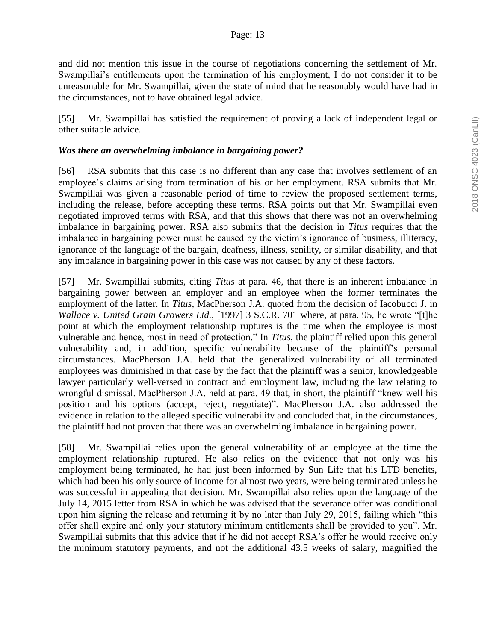and did not mention this issue in the course of negotiations concerning the settlement of Mr. Swampillai's entitlements upon the termination of his employment, I do not consider it to be unreasonable for Mr. Swampillai, given the state of mind that he reasonably would have had in the circumstances, not to have obtained legal advice.

[55] Mr. Swampillai has satisfied the requirement of proving a lack of independent legal or other suitable advice.

#### *Was there an overwhelming imbalance in bargaining power?*

[56] RSA submits that this case is no different than any case that involves settlement of an employee's claims arising from termination of his or her employment. RSA submits that Mr. Swampillai was given a reasonable period of time to review the proposed settlement terms, including the release, before accepting these terms. RSA points out that Mr. Swampillai even negotiated improved terms with RSA, and that this shows that there was not an overwhelming imbalance in bargaining power. RSA also submits that the decision in *Titus* requires that the imbalance in bargaining power must be caused by the victim's ignorance of business, illiteracy, ignorance of the language of the bargain, deafness, illness, senility, or similar disability, and that any imbalance in bargaining power in this case was not caused by any of these factors.

[57] Mr. Swampillai submits, citing *Titus* at para. 46, that there is an inherent imbalance in bargaining power between an employer and an employee when the former terminates the employment of the latter. In *Titus*, MacPherson J.A. quoted from the decision of Iacobucci J. in *Wallace v. United Grain Growers Ltd.*, [1997] 3 S.C.R. 701 where, at para. 95, he wrote "[t]he point at which the employment relationship ruptures is the time when the employee is most vulnerable and hence, most in need of protection." In *Titus*, the plaintiff relied upon this general vulnerability and, in addition, specific vulnerability because of the plaintiff's personal circumstances. MacPherson J.A. held that the generalized vulnerability of all terminated employees was diminished in that case by the fact that the plaintiff was a senior, knowledgeable lawyer particularly well-versed in contract and employment law, including the law relating to wrongful dismissal. MacPherson J.A. held at para. 49 that, in short, the plaintiff "knew well his position and his options (accept, reject, negotiate)". MacPherson J.A. also addressed the evidence in relation to the alleged specific vulnerability and concluded that, in the circumstances, the plaintiff had not proven that there was an overwhelming imbalance in bargaining power.

[58] Mr. Swampillai relies upon the general vulnerability of an employee at the time the employment relationship ruptured. He also relies on the evidence that not only was his employment being terminated, he had just been informed by Sun Life that his LTD benefits, which had been his only source of income for almost two years, were being terminated unless he was successful in appealing that decision. Mr. Swampillai also relies upon the language of the July 14, 2015 letter from RSA in which he was advised that the severance offer was conditional upon him signing the release and returning it by no later than July 29, 2015, failing which "this offer shall expire and only your statutory minimum entitlements shall be provided to you". Mr. Swampillai submits that this advice that if he did not accept RSA's offer he would receive only the minimum statutory payments, and not the additional 43.5 weeks of salary, magnified the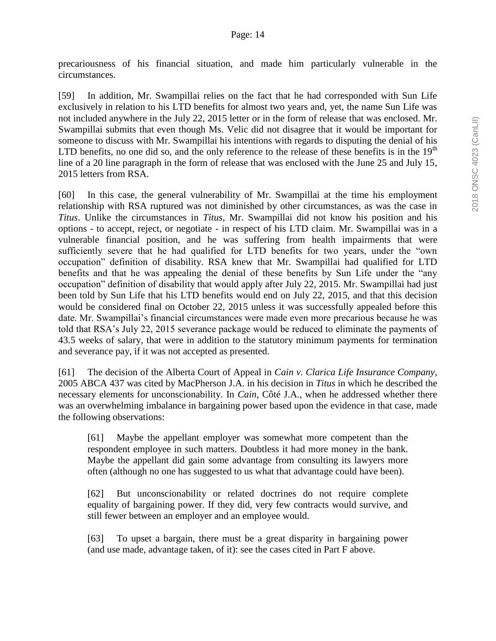precariousness of his financial situation, and made him particularly vulnerable in the circumstances.

[59] In addition, Mr. Swampillai relies on the fact that he had corresponded with Sun Life exclusively in relation to his LTD benefits for almost two years and, yet, the name Sun Life was not included anywhere in the July 22, 2015 letter or in the form of release that was enclosed. Mr. Swampillai submits that even though Ms. Velic did not disagree that it would be important for someone to discuss with Mr. Swampillai his intentions with regards to disputing the denial of his LTD benefits, no one did so, and the only reference to the release of these benefits is in the  $19<sup>th</sup>$ line of a 20 line paragraph in the form of release that was enclosed with the June 25 and July 15, 2015 letters from RSA.

[60] In this case, the general vulnerability of Mr. Swampillai at the time his employment relationship with RSA ruptured was not diminished by other circumstances, as was the case in *Titus*. Unlike the circumstances in *Titus*, Mr. Swampillai did not know his position and his options - to accept, reject, or negotiate - in respect of his LTD claim. Mr. Swampillai was in a vulnerable financial position, and he was suffering from health impairments that were sufficiently severe that he had qualified for LTD benefits for two years, under the "own occupation" definition of disability. RSA knew that Mr. Swampillai had qualified for LTD benefits and that he was appealing the denial of these benefits by Sun Life under the "any occupation" definition of disability that would apply after July 22, 2015. Mr. Swampillai had just been told by Sun Life that his LTD benefits would end on July 22, 2015, and that this decision would be considered final on October 22, 2015 unless it was successfully appealed before this date. Mr. Swampillai's financial circumstances were made even more precarious because he was told that RSA's July 22, 2015 severance package would be reduced to eliminate the payments of 43.5 weeks of salary, that were in addition to the statutory minimum payments for termination and severance pay, if it was not accepted as presented.

[61] The decision of the Alberta Court of Appeal in *Cain v. Clarica Life Insurance Company*, 2005 ABCA 437 was cited by MacPherson J.A. in his decision in *Titus* in which he described the necessary elements for unconscionability. In *Cain*, Côté J.A., when he addressed whether there was an overwhelming imbalance in bargaining power based upon the evidence in that case, made the following observations:

[61] Maybe the appellant employer was somewhat more competent than the respondent employee in such matters. Doubtless it had more money in the bank. Maybe the appellant did gain some advantage from consulting its lawyers more often (although no one has suggested to us what that advantage could have been).

[62] But unconscionability or related doctrines do not require complete equality of bargaining power. If they did, very few contracts would survive, and still fewer between an employer and an employee would.

[63] To upset a bargain, there must be a great disparity in bargaining power (and use made, advantage taken, of it): see the cases cited in Part F above.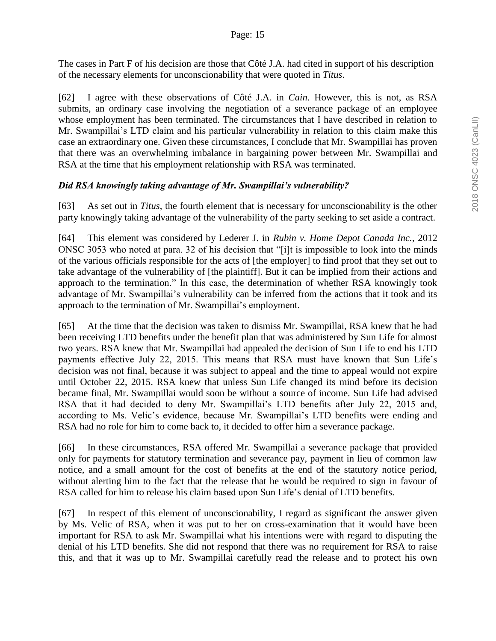The cases in Part F of his decision are those that Côté J.A. had cited in support of his description of the necessary elements for unconscionability that were quoted in *Titus*.

[62] I agree with these observations of Côté J.A. in *Cain*. However, this is not, as RSA submits, an ordinary case involving the negotiation of a severance package of an employee whose employment has been terminated. The circumstances that I have described in relation to Mr. Swampillai's LTD claim and his particular vulnerability in relation to this claim make this case an extraordinary one. Given these circumstances, I conclude that Mr. Swampillai has proven that there was an overwhelming imbalance in bargaining power between Mr. Swampillai and RSA at the time that his employment relationship with RSA was terminated.

# *Did RSA knowingly taking advantage of Mr. Swampillai's vulnerability?*

[63] As set out in *Titus*, the fourth element that is necessary for unconscionability is the other party knowingly taking advantage of the vulnerability of the party seeking to set aside a contract.

[64] This element was considered by Lederer J. in *Rubin v. Home Depot Canada Inc.*, 2012 ONSC 3053 who noted at para. 32 of his decision that "[i]t is impossible to look into the minds of the various officials responsible for the acts of [the employer] to find proof that they set out to take advantage of the vulnerability of [the plaintiff]. But it can be implied from their actions and approach to the termination." In this case, the determination of whether RSA knowingly took advantage of Mr. Swampillai's vulnerability can be inferred from the actions that it took and its approach to the termination of Mr. Swampillai's employment.

[65] At the time that the decision was taken to dismiss Mr. Swampillai, RSA knew that he had been receiving LTD benefits under the benefit plan that was administered by Sun Life for almost two years. RSA knew that Mr. Swampillai had appealed the decision of Sun Life to end his LTD payments effective July 22, 2015. This means that RSA must have known that Sun Life's decision was not final, because it was subject to appeal and the time to appeal would not expire until October 22, 2015. RSA knew that unless Sun Life changed its mind before its decision became final, Mr. Swampillai would soon be without a source of income. Sun Life had advised RSA that it had decided to deny Mr. Swampillai's LTD benefits after July 22, 2015 and, according to Ms. Velic's evidence, because Mr. Swampillai's LTD benefits were ending and RSA had no role for him to come back to, it decided to offer him a severance package.

[66] In these circumstances, RSA offered Mr. Swampillai a severance package that provided only for payments for statutory termination and severance pay, payment in lieu of common law notice, and a small amount for the cost of benefits at the end of the statutory notice period, without alerting him to the fact that the release that he would be required to sign in favour of RSA called for him to release his claim based upon Sun Life's denial of LTD benefits.

[67] In respect of this element of unconscionability, I regard as significant the answer given by Ms. Velic of RSA, when it was put to her on cross-examination that it would have been important for RSA to ask Mr. Swampillai what his intentions were with regard to disputing the denial of his LTD benefits. She did not respond that there was no requirement for RSA to raise this, and that it was up to Mr. Swampillai carefully read the release and to protect his own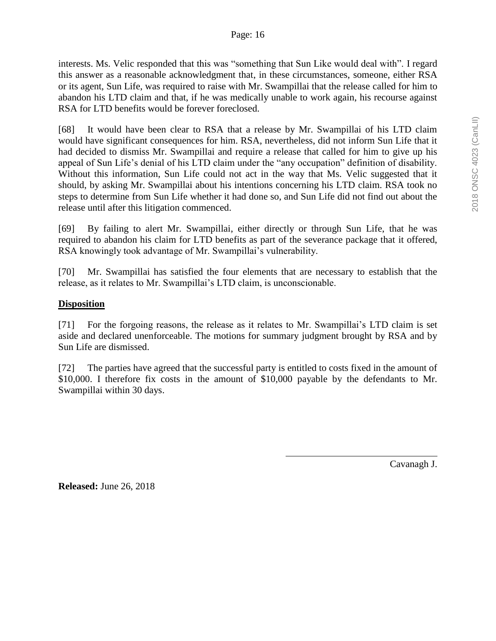interests. Ms. Velic responded that this was "something that Sun Like would deal with". I regard this answer as a reasonable acknowledgment that, in these circumstances, someone, either RSA or its agent, Sun Life, was required to raise with Mr. Swampillai that the release called for him to abandon his LTD claim and that, if he was medically unable to work again, his recourse against RSA for LTD benefits would be forever foreclosed.

[68] It would have been clear to RSA that a release by Mr. Swampillai of his LTD claim would have significant consequences for him. RSA, nevertheless, did not inform Sun Life that it had decided to dismiss Mr. Swampillai and require a release that called for him to give up his appeal of Sun Life's denial of his LTD claim under the "any occupation" definition of disability. Without this information, Sun Life could not act in the way that Ms. Velic suggested that it should, by asking Mr. Swampillai about his intentions concerning his LTD claim. RSA took no steps to determine from Sun Life whether it had done so, and Sun Life did not find out about the release until after this litigation commenced.

[69] By failing to alert Mr. Swampillai, either directly or through Sun Life, that he was required to abandon his claim for LTD benefits as part of the severance package that it offered, RSA knowingly took advantage of Mr. Swampillai's vulnerability.

[70] Mr. Swampillai has satisfied the four elements that are necessary to establish that the release, as it relates to Mr. Swampillai's LTD claim, is unconscionable.

## **Disposition**

[71] For the forgoing reasons, the release as it relates to Mr. Swampillai's LTD claim is set aside and declared unenforceable. The motions for summary judgment brought by RSA and by Sun Life are dismissed.

[72] The parties have agreed that the successful party is entitled to costs fixed in the amount of \$10,000. I therefore fix costs in the amount of \$10,000 payable by the defendants to Mr. Swampillai within 30 days.

Cavanagh J.

**Released:** June 26, 2018